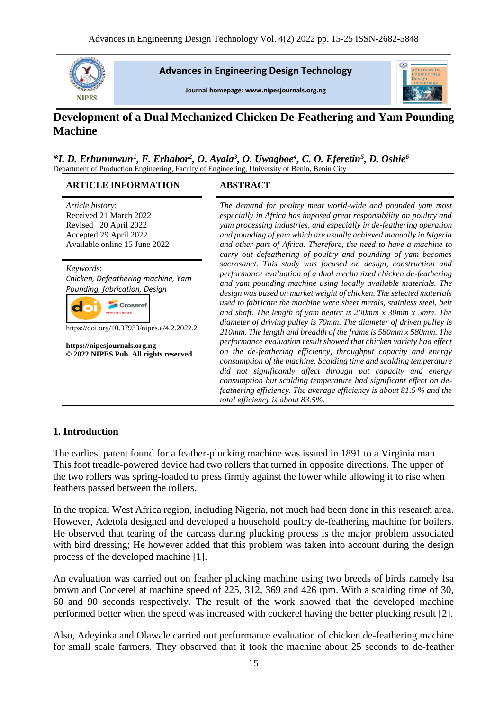

**Advances in Engineering Design Technology** 

Journal homepage: www.nipesjournals.org.ng



# **Development of a Dual Mechanized Chicken De-Feathering and Yam Pounding Machine**

#### *\*I. D. Erhunmwun<sup>1</sup> , F. Erhabor<sup>2</sup> , O. Ayala<sup>3</sup> , O. Uwagboe<sup>4</sup> , C. O. Eferetin<sup>5</sup> , D. Oshie<sup>6</sup>* Department of Production Engineering, Faculty of Engineering, University of Benin, Benin City

### **ARTICLE INFORMATION ABSTRACT**

*Article history*: Received 21 March 2022 Revised 20 April 2022 Accepted 29 April 2022 Available online 15 June 2022

*Keywords*: *Chicken, Defeathering machine, Yam Pounding, fabrication, Design*



https://doi.org/10.37933/nipes.a/4.2.2022.2

**https://nipesjournals.org.ng © 2022 NIPES Pub. All rights reserved**

*The demand for poultry meat world-wide and pounded yam most especially in Africa has imposed great responsibility on poultry and yam processing industries, and especially in de-feathering operation and pounding of yam which are usually achieved manually in Nigeria and other part of Africa. Therefore, the need to have a machine to carry out defeathering of poultry and pounding of yam becomes sacrosanct. This study was focused on design, construction and performance evaluation of a dual mechanized chicken de-feathering and yam pounding machine using locally available materials. The design was based on market weight of chicken. The selected materials used to fabricate the machine were sheet metals, stainless steel, belt and shaft. The length of yam beater is 200mm x 30mm x 5mm. The diameter of driving pulley is 70mm. The diameter of driven pulley is 210mm. The length and breadth of the frame is 580mm x 580mm. The performance evaluation result showed that chicken variety had effect on the de-feathering efficiency, throughput capacity and energy consumption of the machine. Scalding time and scalding temperature did not significantly affect through put capacity and energy consumption but scalding temperature had significant effect on defeathering efficiency. The average efficiency is about 81.5 % and the total efficiency is about 83.5%.*

# **1. Introduction**

The earliest patent found for a feather-plucking machine was issued in 1891 to a Virginia man. This foot treadle-powered device had two rollers that turned in opposite directions. The upper of the two rollers was spring-loaded to press firmly against the lower while allowing it to rise when feathers passed between the rollers.

In the tropical West Africa region, including Nigeria, not much had been done in this research area. However, Adetola designed and developed a household poultry de-feathering machine for boilers. He observed that tearing of the carcass during plucking process is the major problem associated with bird dressing; He however added that this problem was taken into account during the design process of the developed machine [1].

An evaluation was carried out on feather plucking machine using two breeds of birds namely Isa brown and Cockerel at machine speed of 225, 312, 369 and 426 rpm. With a scalding time of 30, 60 and 90 seconds respectively. The result of the work showed that the developed machine performed better when the speed was increased with cockerel having the better plucking result [2].

Also, Adeyinka and Olawale carried out performance evaluation of chicken de-feathering machine for small scale farmers. They observed that it took the machine about 25 seconds to de-feather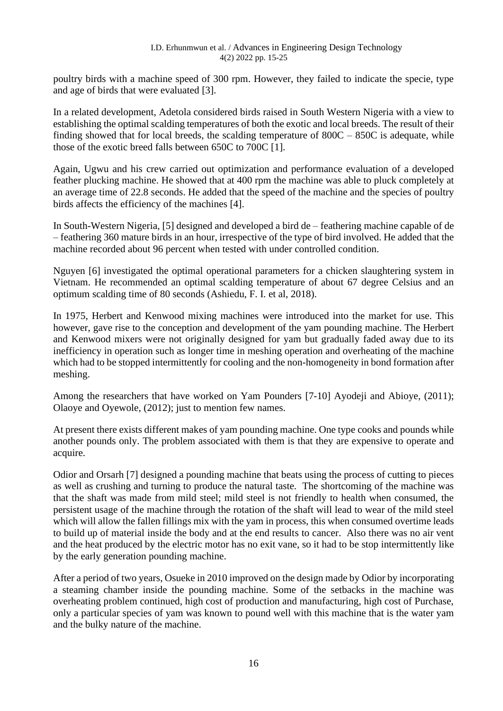poultry birds with a machine speed of 300 rpm. However, they failed to indicate the specie, type and age of birds that were evaluated [3].

In a related development, Adetola considered birds raised in South Western Nigeria with a view to establishing the optimal scalding temperatures of both the exotic and local breeds. The result of their finding showed that for local breeds, the scalding temperature of  $800C - 850C$  is adequate, while those of the exotic breed falls between 650C to 700C [1].

Again, Ugwu and his crew carried out optimization and performance evaluation of a developed feather plucking machine. He showed that at 400 rpm the machine was able to pluck completely at an average time of 22.8 seconds. He added that the speed of the machine and the species of poultry birds affects the efficiency of the machines [4].

In South-Western Nigeria, [5] designed and developed a bird de – feathering machine capable of de – feathering 360 mature birds in an hour, irrespective of the type of bird involved. He added that the machine recorded about 96 percent when tested with under controlled condition.

Nguyen [6] investigated the optimal operational parameters for a chicken slaughtering system in Vietnam. He recommended an optimal scalding temperature of about 67 degree Celsius and an optimum scalding time of 80 seconds (Ashiedu, F. I. et al, 2018).

In 1975, Herbert and Kenwood mixing machines were introduced into the market for use. This however, gave rise to the conception and development of the yam pounding machine. The Herbert and Kenwood mixers were not originally designed for yam but gradually faded away due to its inefficiency in operation such as longer time in meshing operation and overheating of the machine which had to be stopped intermittently for cooling and the non-homogeneity in bond formation after meshing.

Among the researchers that have worked on Yam Pounders [7-10] Ayodeji and Abioye, (2011); Olaoye and Oyewole, (2012); just to mention few names.

At present there exists different makes of yam pounding machine. One type cooks and pounds while another pounds only. The problem associated with them is that they are expensive to operate and acquire.

Odior and Orsarh [7] designed a pounding machine that beats using the process of cutting to pieces as well as crushing and turning to produce the natural taste. The shortcoming of the machine was that the shaft was made from mild steel; mild steel is not friendly to health when consumed, the persistent usage of the machine through the rotation of the shaft will lead to wear of the mild steel which will allow the fallen fillings mix with the yam in process, this when consumed overtime leads to build up of material inside the body and at the end results to cancer. Also there was no air vent and the heat produced by the electric motor has no exit vane, so it had to be stop intermittently like by the early generation pounding machine.

After a period of two years, Osueke in 2010 improved on the design made by Odior by incorporating a steaming chamber inside the pounding machine. Some of the setbacks in the machine was overheating problem continued, high cost of production and manufacturing, high cost of Purchase, only a particular species of yam was known to pound well with this machine that is the water yam and the bulky nature of the machine.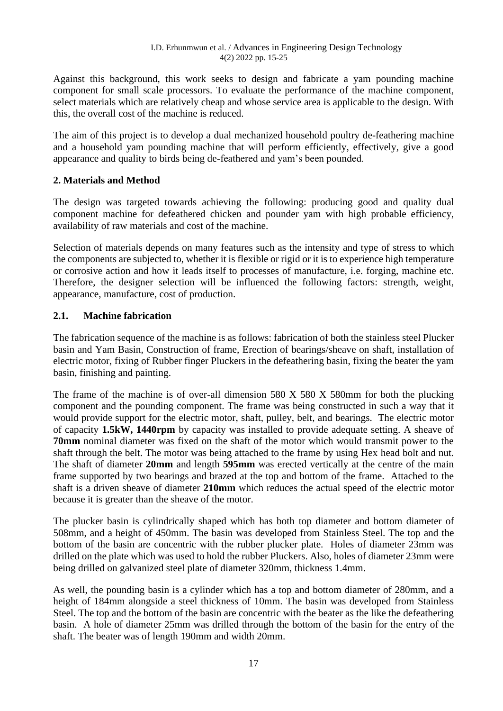Against this background, this work seeks to design and fabricate a yam pounding machine component for small scale processors. To evaluate the performance of the machine component, select materials which are relatively cheap and whose service area is applicable to the design. With this, the overall cost of the machine is reduced.

The aim of this project is to develop a dual mechanized household poultry de-feathering machine and a household yam pounding machine that will perform efficiently, effectively, give a good appearance and quality to birds being de-feathered and yam's been pounded.

# **2. Materials and Method**

The design was targeted towards achieving the following: producing good and quality dual component machine for defeathered chicken and pounder yam with high probable efficiency, availability of raw materials and cost of the machine.

Selection of materials depends on many features such as the intensity and type of stress to which the components are subjected to, whether it is flexible or rigid or it is to experience high temperature or corrosive action and how it leads itself to processes of manufacture, i.e. forging, machine etc. Therefore, the designer selection will be influenced the following factors: strength, weight, appearance, manufacture, cost of production.

# **2.1. Machine fabrication**

The fabrication sequence of the machine is as follows: fabrication of both the stainless steel Plucker basin and Yam Basin, Construction of frame, Erection of bearings/sheave on shaft, installation of electric motor, fixing of Rubber finger Pluckers in the defeathering basin, fixing the beater the yam basin, finishing and painting.

The frame of the machine is of over-all dimension 580 X 580 X 580mm for both the plucking component and the pounding component. The frame was being constructed in such a way that it would provide support for the electric motor, shaft, pulley, belt, and bearings. The electric motor of capacity **1.5kW, 1440rpm** by capacity was installed to provide adequate setting. A sheave of **70mm** nominal diameter was fixed on the shaft of the motor which would transmit power to the shaft through the belt. The motor was being attached to the frame by using Hex head bolt and nut. The shaft of diameter **20mm** and length **595mm** was erected vertically at the centre of the main frame supported by two bearings and brazed at the top and bottom of the frame. Attached to the shaft is a driven sheave of diameter **210mm** which reduces the actual speed of the electric motor because it is greater than the sheave of the motor.

The plucker basin is cylindrically shaped which has both top diameter and bottom diameter of 508mm, and a height of 450mm. The basin was developed from Stainless Steel. The top and the bottom of the basin are concentric with the rubber plucker plate. Holes of diameter 23mm was drilled on the plate which was used to hold the rubber Pluckers. Also, holes of diameter 23mm were being drilled on galvanized steel plate of diameter 320mm, thickness 1.4mm.

As well, the pounding basin is a cylinder which has a top and bottom diameter of 280mm, and a height of 184mm alongside a steel thickness of 10mm. The basin was developed from Stainless Steel. The top and the bottom of the basin are concentric with the beater as the like the defeathering basin. A hole of diameter 25mm was drilled through the bottom of the basin for the entry of the shaft. The beater was of length 190mm and width 20mm.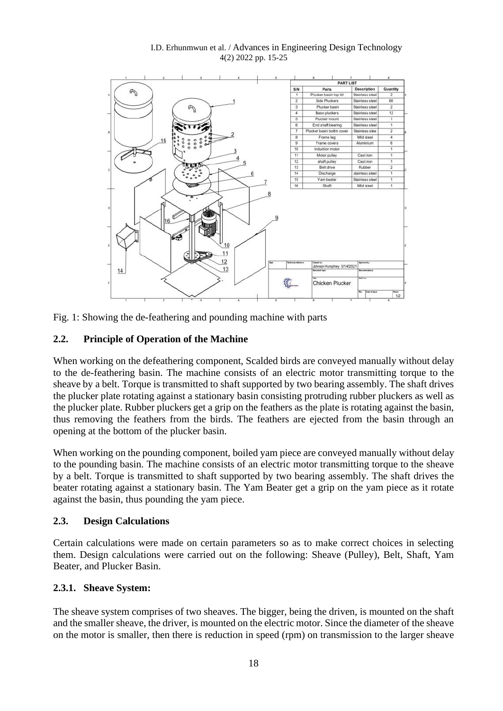#### I.D. Erhunmwun et al. / Advances in Engineering Design Technology 4(2) 2022 pp. 15-25



Fig. 1: Showing the de-feathering and pounding machine with parts

# **2.2. Principle of Operation of the Machine**

When working on the defeathering component, Scalded birds are conveyed manually without delay to the de-feathering basin. The machine consists of an electric motor transmitting torque to the sheave by a belt. Torque is transmitted to shaft supported by two bearing assembly. The shaft drives the plucker plate rotating against a stationary basin consisting protruding rubber pluckers as well as the plucker plate. Rubber pluckers get a grip on the feathers as the plate is rotating against the basin, thus removing the feathers from the birds. The feathers are ejected from the basin through an opening at the bottom of the plucker basin.

When working on the pounding component, boiled yam piece are conveyed manually without delay to the pounding basin. The machine consists of an electric motor transmitting torque to the sheave by a belt. Torque is transmitted to shaft supported by two bearing assembly. The shaft drives the beater rotating against a stationary basin. The Yam Beater get a grip on the yam piece as it rotate against the basin, thus pounding the yam piece.

# **2.3. Design Calculations**

Certain calculations were made on certain parameters so as to make correct choices in selecting them. Design calculations were carried out on the following: Sheave (Pulley), Belt, Shaft, Yam Beater, and Plucker Basin.

# **2.3.1. Sheave System:**

The sheave system comprises of two sheaves. The bigger, being the driven, is mounted on the shaft and the smaller sheave, the driver, is mounted on the electric motor. Since the diameter of the sheave on the motor is smaller, then there is reduction in speed (rpm) on transmission to the larger sheave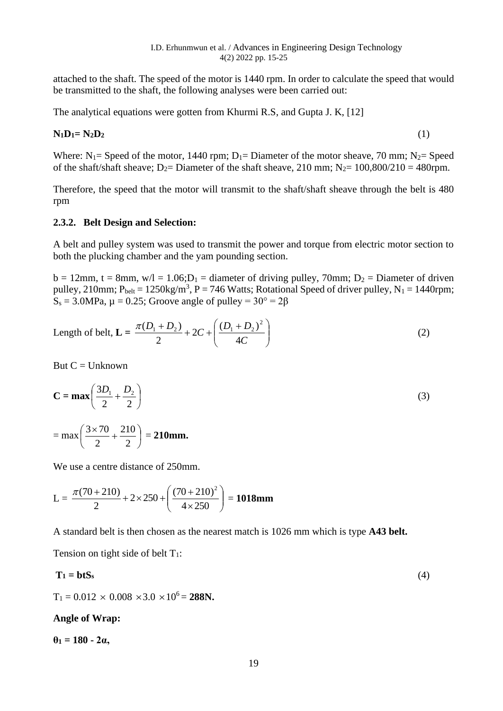attached to the shaft. The speed of the motor is 1440 rpm. In order to calculate the speed that would be transmitted to the shaft, the following analyses were been carried out:

The analytical equations were gotten from Khurmi R.S, and Gupta J. K, [12]

### $N_1D_1 = N_2D_2$  (1)

Where:  $N_1$  = Speed of the motor, 1440 rpm;  $D_1$  = Diameter of the motor sheave, 70 mm; N<sub>2</sub> = Speed of the shaft/shaft sheave;  $D_2$ = Diameter of the shaft sheave, 210 mm;  $N_2$ = 100,800/210 = 480rpm.

Therefore, the speed that the motor will transmit to the shaft/shaft sheave through the belt is 480 rpm

### **2.3.2. Belt Design and Selection:**

A belt and pulley system was used to transmit the power and torque from electric motor section to both the plucking chamber and the yam pounding section.

 $b = 12$ mm, t = 8mm, w/l = 1.06; $D_1$  = diameter of driving pulley, 70mm;  $D_2$  = Diameter of driven pulley, 210mm;  $P_{belt} = 1250 \text{kg/m}^3$ ,  $P = 746$  Watts; Rotational Speed of driver pulley,  $N_1 = 1440$ rpm;  $S_s = 3.0 \text{MPa}$ ,  $\mu = 0.25$ ; Groove angle of pulley =  $30^\circ = 2\beta$ 

Length of belt, 
$$
L = \frac{\pi (D_1 + D_2)}{2} + 2C + \left(\frac{(D_1 + D_2)^2}{4C}\right)
$$
 (2)

But  $C =$  Unknown

$$
C = max\left(\frac{3D_1}{2} + \frac{D_2}{2}\right)
$$
  
= max $\left(\frac{3 \times 70}{2} + \frac{210}{2}\right)$  = 210mm. (3)

We use a centre distance of 250mm.

$$
L = \frac{\pi (70 + 210)}{2} + 2 \times 250 + \left(\frac{(70 + 210)^2}{4 \times 250}\right) = 1018mm
$$

A standard belt is then chosen as the nearest match is 1026 mm which is type **A43 belt.**

Tension on tight side of belt  $T_1$ :

$$
T_1 = btS_s \tag{4}
$$

 $T_1 = 0.012 \times 0.008 \times 3.0 \times 10^6 = 288$ N.

### **Angle of Wrap:**

**θ<sup>1</sup> = 180 - 2α,**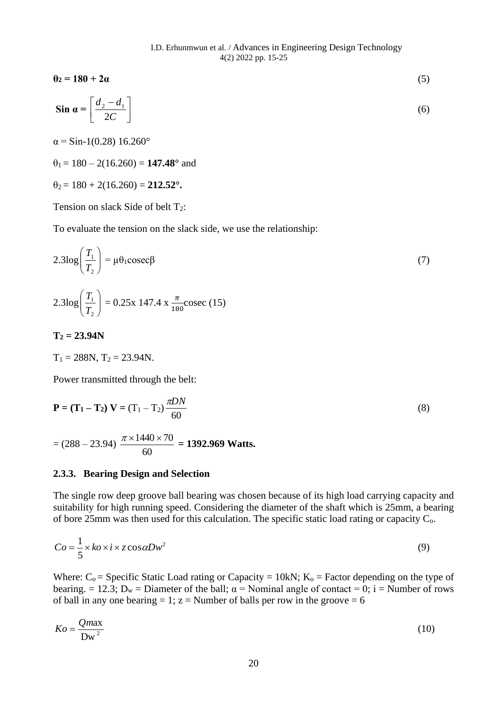$$
\sin \alpha = \left[ \frac{d_2 - d_1}{2C} \right] \tag{6}
$$

**θ<sup>2</sup> = 180 + 2α** (5)

 $\alpha$  = Sin-1(0.28) 16.260°

 $\theta_1 = 180 - 2(16.260) = 147.48$ ° and

 $\theta_2 = 180 + 2(16.260) = 212.52$ °.

Tension on slack Side of belt T<sub>2</sub>:

To evaluate the tension on the slack side, we use the relationship:

$$
2.3\log\left(\frac{T_1}{T_2}\right) = \mu\theta_1 \csc\beta
$$
\n
$$
2.3\log\left(\frac{T_1}{T_1}\right) = 0.25 \times 147.4 \times \frac{\pi}{180} \csc(15)
$$
\n(7)

$$
T_2=23.94N
$$

 $\setminus$ 

$$
T_1 = 288N, T_2 = 23.94N.
$$

J

2

*T*

Power transmitted through the belt:

$$
\mathbf{P} = (\mathbf{T}_1 - \mathbf{T}_2) \mathbf{V} = (\mathbf{T}_1 - \mathbf{T}_2) \frac{\pi DN}{60}
$$
 (8)

$$
= (288 - 23.94) \frac{\pi \times 1440 \times 70}{60} = 1392.969
$$
Watts.

#### **2.3.3. Bearing Design and Selection**

The single row deep groove ball bearing was chosen because of its high load carrying capacity and suitability for high running speed. Considering the diameter of the shaft which is 25mm, a bearing of bore 25mm was then used for this calculation. The specific static load rating or capacity Co.

$$
Co = \frac{1}{5} \times ko \times i \times z \cos \alpha Dw^2
$$
 (9)

Where:  $C_0$  = Specific Static Load rating or Capacity = 10kN;  $K_0$  = Factor depending on the type of bearing. = 12.3;  $D_w =$  Diameter of the ball;  $\alpha$  = Nominal angle of contact = 0; i = Number of rows of ball in any one bearing = 1;  $z =$  Number of balls per row in the groove = 6

$$
Ko = \frac{Qm\alpha x}{Dw^2}
$$
 (10)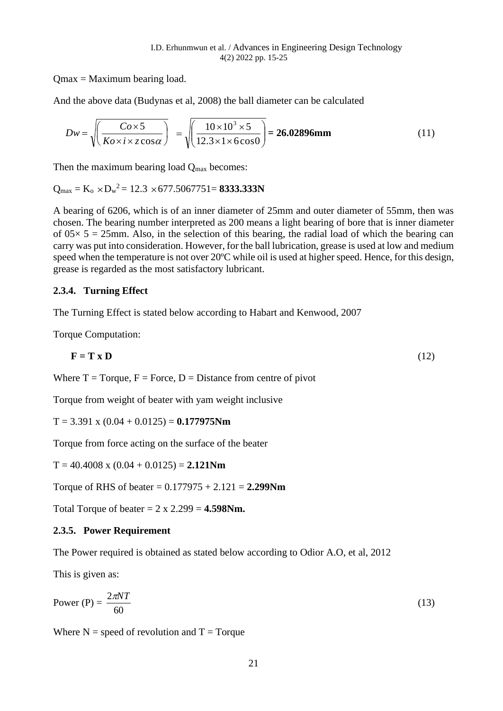Qmax = Maximum bearing load.

And the above data (Budynas et al, 2008) the ball diameter can be calculated

$$
Dw = \sqrt{\left(\frac{Co \times 5}{K o \times i \times z \cos \alpha}\right)} = \sqrt{\left(\frac{10 \times 10^3 \times 5}{12.3 \times 1 \times 6 \cos \alpha}\right)} = 26.02896 \text{mm}
$$
 (11)

Then the maximum bearing load  $Q_{\text{max}}$  becomes:

$$
Q_{max} = K_o \times D_w^2 = 12.3 \times 677.5067751 = 8333.333N
$$

A bearing of 6206, which is of an inner diameter of 25mm and outer diameter of 55mm, then was chosen. The bearing number interpreted as 200 means a light bearing of bore that is inner diameter of  $0.05 \times 5 = 25$  mm. Also, in the selection of this bearing, the radial load of which the bearing can carry was put into consideration. However, for the ball lubrication, grease is used at low and medium speed when the temperature is not over 20<sup>o</sup>C while oil is used at higher speed. Hence, for this design, grease is regarded as the most satisfactory lubricant.

### **2.3.4. Turning Effect**

The Turning Effect is stated below according to Habart and Kenwood, 2007

Torque Computation:

$$
\mathbf{F} = \mathbf{T} \times \mathbf{D} \tag{12}
$$

Where  $T = T$ orque,  $F = F$ orce,  $D = D$ istance from centre of pivot

Torque from weight of beater with yam weight inclusive

 $T = 3.391 \times (0.04 + 0.0125) = 0.177975Nm$ 

Torque from force acting on the surface of the beater

 $T = 40.4008 \times (0.04 + 0.0125) = 2.121$ Nm

Torque of RHS of beater = 0.177975 + 2.121 = **2.299Nm**

Total Torque of beater  $= 2 \times 2.299 = 4.598$  Nm.

### **2.3.5. Power Requirement**

The Power required is obtained as stated below according to Odior A.O, et al, 2012

This is given as:

$$
Power(P) = \frac{2\pi NT}{60}
$$
 (13)

Where  $N =$  speed of revolution and  $T =$  Torque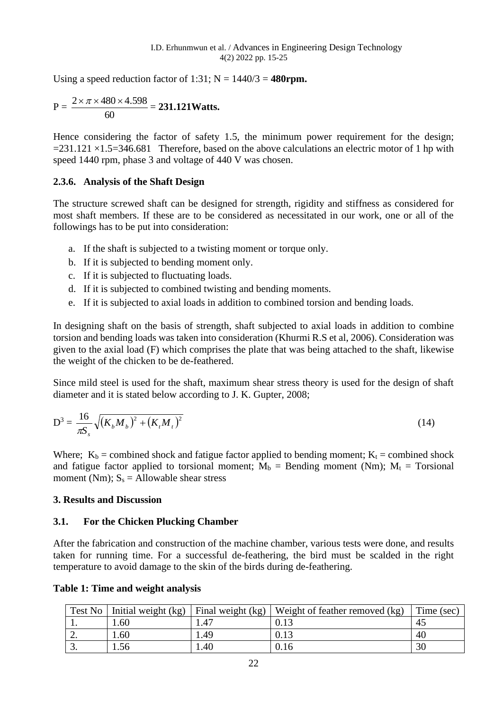Using a speed reduction factor of 1:31;  $N = 1440/3 = 480$  rpm.

$$
P = \frac{2 \times \pi \times 480 \times 4.598}{60} = 231.121
$$
Watts.

Hence considering the factor of safety 1.5, the minimum power requirement for the design;  $=231.121 \times 1.5=346.681$  Therefore, based on the above calculations an electric motor of 1 hp with speed 1440 rpm, phase 3 and voltage of 440 V was chosen.

# **2.3.6. Analysis of the Shaft Design**

The structure screwed shaft can be designed for strength, rigidity and stiffness as considered for most shaft members. If these are to be considered as necessitated in our work, one or all of the followings has to be put into consideration:

- a. If the shaft is subjected to a twisting moment or torque only.
- b. If it is subjected to bending moment only.
- c. If it is subjected to fluctuating loads.
- d. If it is subjected to combined twisting and bending moments.
- e. If it is subjected to axial loads in addition to combined torsion and bending loads.

In designing shaft on the basis of strength, shaft subjected to axial loads in addition to combine torsion and bending loads was taken into consideration (Khurmi R.S et al, 2006). Consideration was given to the axial load (F) which comprises the plate that was being attached to the shaft, likewise the weight of the chicken to be de-feathered.

Since mild steel is used for the shaft, maximum shear stress theory is used for the design of shaft diameter and it is stated below according to J. K. Gupter, 2008;

$$
D^3 = \frac{16}{\pi S_s} \sqrt{(K_b M_b)^2 + (K_t M_t)^2}
$$
 (14)

Where;  $K_b$  = combined shock and fatigue factor applied to bending moment;  $K_t$  = combined shock and fatigue factor applied to torsional moment;  $M_b$  = Bending moment (Nm);  $M_t$  = Torsional moment (Nm);  $S_s =$  Allowable shear stress

# **3. Results and Discussion**

# **3.1. For the Chicken Plucking Chamber**

After the fabrication and construction of the machine chamber, various tests were done, and results taken for running time. For a successful de-feathering, the bird must be scalded in the right temperature to avoid damage to the skin of the birds during de-feathering.

| Test No  | Initial weight (kg) | Final weight (kg) | Weight of feather removed (kg) | Time (sec) |
|----------|---------------------|-------------------|--------------------------------|------------|
| . .      | .60                 | .47               |                                | -45        |
| <u>.</u> | .60                 | .49               | 0.13                           | 40         |
| J.       | 1.56                | .40               | 0.16                           | 30         |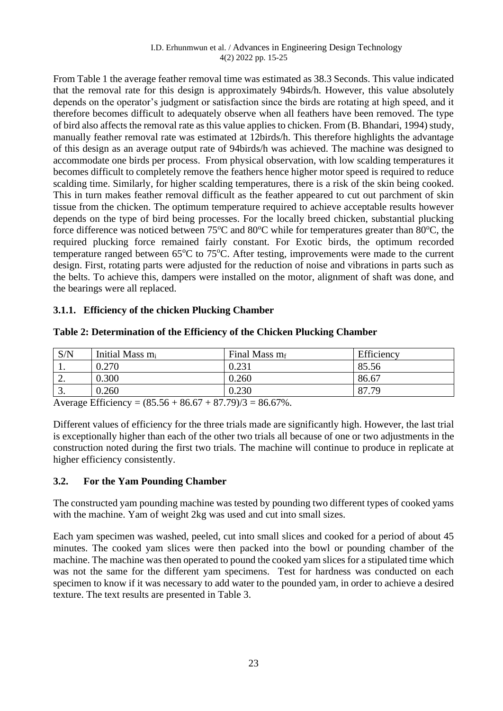#### I.D. Erhunmwun et al. / Advances in Engineering Design Technology 4(2) 2022 pp. 15-25

From Table 1 the average feather removal time was estimated as 38.3 Seconds. This value indicated that the removal rate for this design is approximately 94birds/h. However, this value absolutely depends on the operator's judgment or satisfaction since the birds are rotating at high speed, and it therefore becomes difficult to adequately observe when all feathers have been removed. The type of bird also affects the removal rate as this value applies to chicken. From (B. Bhandari, 1994) study, manually feather removal rate was estimated at 12birds/h. This therefore highlights the advantage of this design as an average output rate of 94birds/h was achieved. The machine was designed to accommodate one birds per process. From physical observation, with low scalding temperatures it becomes difficult to completely remove the feathers hence higher motor speed is required to reduce scalding time. Similarly, for higher scalding temperatures, there is a risk of the skin being cooked. This in turn makes feather removal difficult as the feather appeared to cut out parchment of skin tissue from the chicken. The optimum temperature required to achieve acceptable results however depends on the type of bird being processes. For the locally breed chicken, substantial plucking force difference was noticed between  $75^{\circ}$ C and  $80^{\circ}$ C while for temperatures greater than  $80^{\circ}$ C, the required plucking force remained fairly constant. For Exotic birds, the optimum recorded temperature ranged between  $65^{\circ}$ C to  $75^{\circ}$ C. After testing, improvements were made to the current design. First, rotating parts were adjusted for the reduction of noise and vibrations in parts such as the belts. To achieve this, dampers were installed on the motor, alignment of shaft was done, and the bearings were all replaced.

# **3.1.1. Efficiency of the chicken Plucking Chamber**

| S/N      | Initial Mass m <sub>i</sub> | Final Mass $m_f$ | Efficiency |
|----------|-----------------------------|------------------|------------|
| . .      | 0.270                       | 0.231            | 85.56      |
| <u>.</u> | 0.300                       | 0.260            | 86.67      |
| ◡.       | 0.260                       | 0.230            | 87.79      |

| Table 2: Determination of the Efficiency of the Chicken Plucking Chamber |  |
|--------------------------------------------------------------------------|--|
|--------------------------------------------------------------------------|--|

Average Efficiency =  $(85.56 + 86.67 + 87.79)/3 = 86.67\%$ .

Different values of efficiency for the three trials made are significantly high. However, the last trial is exceptionally higher than each of the other two trials all because of one or two adjustments in the construction noted during the first two trials. The machine will continue to produce in replicate at higher efficiency consistently.

# **3.2. For the Yam Pounding Chamber**

The constructed yam pounding machine was tested by pounding two different types of cooked yams with the machine. Yam of weight 2kg was used and cut into small sizes.

Each yam specimen was washed, peeled, cut into small slices and cooked for a period of about 45 minutes. The cooked yam slices were then packed into the bowl or pounding chamber of the machine. The machine was then operated to pound the cooked yam slices for a stipulated time which was not the same for the different yam specimens. Test for hardness was conducted on each specimen to know if it was necessary to add water to the pounded yam, in order to achieve a desired texture. The text results are presented in Table 3.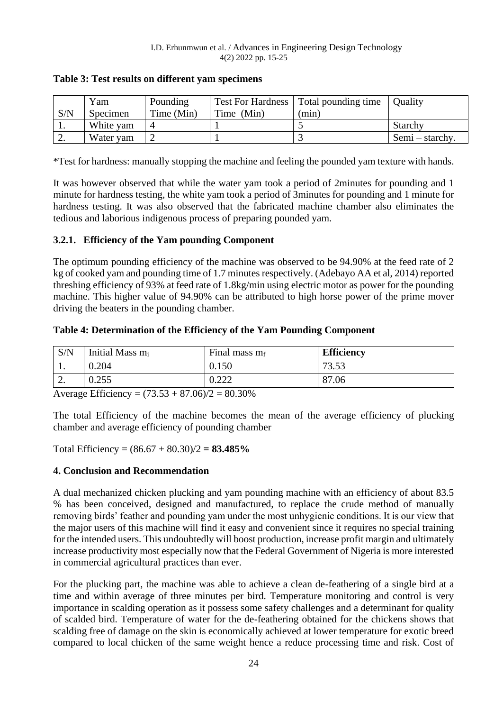|          | Yam       | Pounding   |            | Test For Hardness   Total pounding time | <b>Ouality</b>  |
|----------|-----------|------------|------------|-----------------------------------------|-----------------|
| S/N      | Specimen  | Time (Min) | Time (Min) | (min)                                   |                 |
| . .      | White yam |            |            |                                         | Starchy         |
| <u>.</u> | Water yam |            |            |                                         | Semi – starchy. |

**Table 3: Test results on different yam specimens**

\*Test for hardness: manually stopping the machine and feeling the pounded yam texture with hands.

It was however observed that while the water yam took a period of 2minutes for pounding and 1 minute for hardness testing, the white yam took a period of 3minutes for pounding and 1 minute for hardness testing. It was also observed that the fabricated machine chamber also eliminates the tedious and laborious indigenous process of preparing pounded yam.

### **3.2.1. Efficiency of the Yam pounding Component**

The optimum pounding efficiency of the machine was observed to be 94.90% at the feed rate of 2 kg of cooked yam and pounding time of 1.7 minutes respectively. (Adebayo AA et al, 2014) reported threshing efficiency of 93% at feed rate of 1.8kg/min using electric motor as power for the pounding machine. This higher value of 94.90% can be attributed to high horse power of the prime mover driving the beaters in the pounding chamber.

**Table 4: Determination of the Efficiency of the Yam Pounding Component** 

| S/N     | Initial Mass m <sub>i</sub> | Final mass $m_f$ | <b>Efficiency</b> |
|---------|-----------------------------|------------------|-------------------|
| $\cdot$ | 0.204                       | 0.150            | 7252<br>3.JJ      |
| ٠.      | 0.255                       | .222<br>0.444    | 87.06             |

Average Efficiency =  $(73.53 + 87.06)/2 = 80.30\%$ 

The total Efficiency of the machine becomes the mean of the average efficiency of plucking chamber and average efficiency of pounding chamber

Total Efficiency = (86.67 + 80.30)/2 **= 83.485%**

### **4. Conclusion and Recommendation**

A dual mechanized chicken plucking and yam pounding machine with an efficiency of about 83.5 % has been conceived, designed and manufactured, to replace the crude method of manually removing birds' feather and pounding yam under the most unhygienic conditions. It is our view that the major users of this machine will find it easy and convenient since it requires no special training for the intended users. This undoubtedly will boost production, increase profit margin and ultimately increase productivity most especially now that the Federal Government of Nigeria is more interested in commercial agricultural practices than ever.

For the plucking part, the machine was able to achieve a clean de-feathering of a single bird at a time and within average of three minutes per bird. Temperature monitoring and control is very importance in scalding operation as it possess some safety challenges and a determinant for quality of scalded bird. Temperature of water for the de-feathering obtained for the chickens shows that scalding free of damage on the skin is economically achieved at lower temperature for exotic breed compared to local chicken of the same weight hence a reduce processing time and risk. Cost of